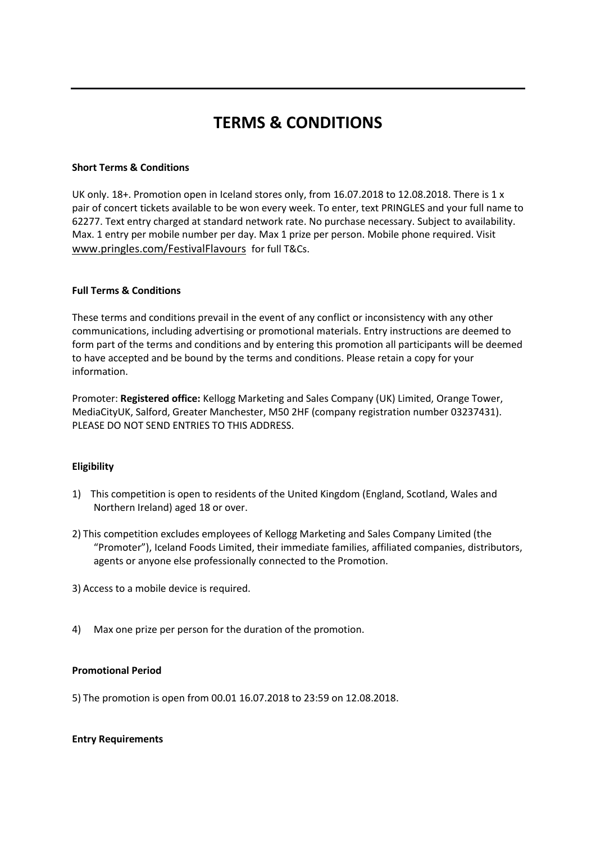# **TERMS & CONDITIONS**

## **Short Terms & Conditions**

UK only. 18+. Promotion open in Iceland stores only, from 16.07.2018 to 12.08.2018. There is 1 x pair of concert tickets available to be won every week. To enter, text PRINGLES and your full name to 62277. Text entry charged at standard network rate. No purchase necessary. Subject to availability. Max. 1 entry per mobile number per day. Max 1 prize per person. Mobile phone required. Visit [www.pringles.com/FestivalFlavours](http://www.pringles.com/FestivalFlavours) for full T&Cs.

### **Full Terms & Conditions**

These terms and conditions prevail in the event of any conflict or inconsistency with any other communications, including advertising or promotional materials. Entry instructions are deemed to form part of the terms and conditions and by entering this promotion all participants will be deemed to have accepted and be bound by the terms and conditions. Please retain a copy for your information.

Promoter: **Registered office:** Kellogg Marketing and Sales Company (UK) Limited, Orange Tower, MediaCityUK, Salford, Greater Manchester, M50 2HF (company registration number 03237431). PLEASE DO NOT SEND ENTRIES TO THIS ADDRESS.

# **Eligibility**

- 1) This competition is open to residents of the United Kingdom (England, Scotland, Wales and Northern Ireland) aged 18 or over.
- 2) This competition excludes employees of Kellogg Marketing and Sales Company Limited (the "Promoter"), Iceland Foods Limited, their immediate families, affiliated companies, distributors, agents or anyone else professionally connected to the Promotion.

3) Access to a mobile device is required.

4) Max one prize per person for the duration of the promotion.

### **Promotional Period**

5) The promotion is open from 00.01 16.07.2018 to 23:59 on 12.08.2018.

### **Entry Requirements**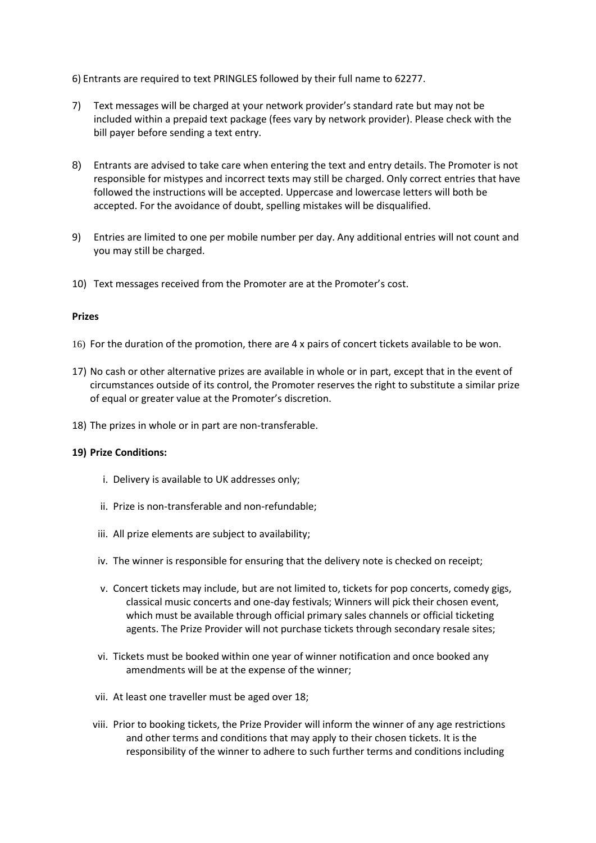6) Entrants are required to text PRINGLES followed by their full name to 62277.

- 7) Text messages will be charged at your network provider's standard rate but may not be included within a prepaid text package (fees vary by network provider). Please check with the bill payer before sending a text entry.
- 8) Entrants are advised to take care when entering the text and entry details. The Promoter is not responsible for mistypes and incorrect texts may still be charged. Only correct entries that have followed the instructions will be accepted. Uppercase and lowercase letters will both be accepted. For the avoidance of doubt, spelling mistakes will be disqualified.
- 9) Entries are limited to one per mobile number per day. Any additional entries will not count and you may still be charged.
- 10) Text messages received from the Promoter are at the Promoter's cost.

### **Prizes**

- 16) For the duration of the promotion, there are 4 x pairs of concert tickets available to be won.
- 17) No cash or other alternative prizes are available in whole or in part, except that in the event of circumstances outside of its control, the Promoter reserves the right to substitute a similar prize of equal or greater value at the Promoter's discretion.
- 18) The prizes in whole or in part are non-transferable.

### **19) Prize Conditions:**

- i. Delivery is available to UK addresses only;
- ii. Prize is non-transferable and non-refundable;
- iii. All prize elements are subject to availability;
- iv. The winner is responsible for ensuring that the delivery note is checked on receipt;
- v. Concert tickets may include, but are not limited to, tickets for pop concerts, comedy gigs, classical music concerts and one-day festivals; Winners will pick their chosen event, which must be available through official primary sales channels or official ticketing agents. The Prize Provider will not purchase tickets through secondary resale sites;
- vi. Tickets must be booked within one year of winner notification and once booked any amendments will be at the expense of the winner;
- vii. At least one traveller must be aged over 18;
- viii. Prior to booking tickets, the Prize Provider will inform the winner of any age restrictions and other terms and conditions that may apply to their chosen tickets. It is the responsibility of the winner to adhere to such further terms and conditions including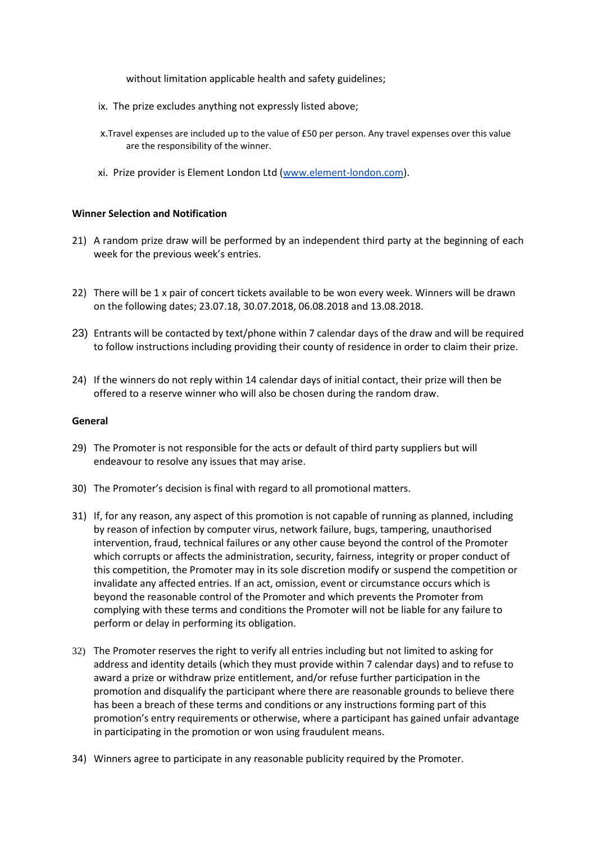without limitation applicable health and safety guidelines;

- ix. The prize excludes anything not expressly listed above;
- x.Travel expenses are included up to the value of £50 per person. Any travel expenses over this value are the responsibility of the winner.
- xi. Prize provider is Element London Ltd [\(www.element-london.com\)](https://urldefense.proofpoint.com/v2/url?u=http-3A__www.element-2Dlondon.com&d=DwMFAw&c=dPDDGlUGlJe7k2bognQ9ww&r=2G9xChXfasXYfznWueT1GJ_VbhwrutjT2_6QcnVS0Ns&m=hjbnT8HV-AodZ9RSYBZ2Y4yUxi2ZyXcm03qNhrZG8Ys&s=Gjzr5M1f-Ri5cJ6z0qFZx4RkTDlzEpFPiXTep0FV3qQ&e=).

#### **Winner Selection and Notification**

- 21) A random prize draw will be performed by an independent third party at the beginning of each week for the previous week's entries.
- 22) There will be 1 x pair of concert tickets available to be won every week. Winners will be drawn on the following dates; 23.07.18, 30.07.2018, 06.08.2018 and 13.08.2018.
- 23) Entrants will be contacted by text/phone within 7 calendar days of the draw and will be required to follow instructions including providing their county of residence in order to claim their prize.
- 24) If the winners do not reply within 14 calendar days of initial contact, their prize will then be offered to a reserve winner who will also be chosen during the random draw.

#### **General**

- 29) The Promoter is not responsible for the acts or default of third party suppliers but will endeavour to resolve any issues that may arise.
- 30) The Promoter's decision is final with regard to all promotional matters.
- 31) If, for any reason, any aspect of this promotion is not capable of running as planned, including by reason of infection by computer virus, network failure, bugs, tampering, unauthorised intervention, fraud, technical failures or any other cause beyond the control of the Promoter which corrupts or affects the administration, security, fairness, integrity or proper conduct of this competition, the Promoter may in its sole discretion modify or suspend the competition or invalidate any affected entries. If an act, omission, event or circumstance occurs which is beyond the reasonable control of the Promoter and which prevents the Promoter from complying with these terms and conditions the Promoter will not be liable for any failure to perform or delay in performing its obligation.
- 32) The Promoter reserves the right to verify all entries including but not limited to asking for address and identity details (which they must provide within 7 calendar days) and to refuse to award a prize or withdraw prize entitlement, and/or refuse further participation in the promotion and disqualify the participant where there are reasonable grounds to believe there has been a breach of these terms and conditions or any instructions forming part of this promotion's entry requirements or otherwise, where a participant has gained unfair advantage in participating in the promotion or won using fraudulent means.
- 34) Winners agree to participate in any reasonable publicity required by the Promoter.